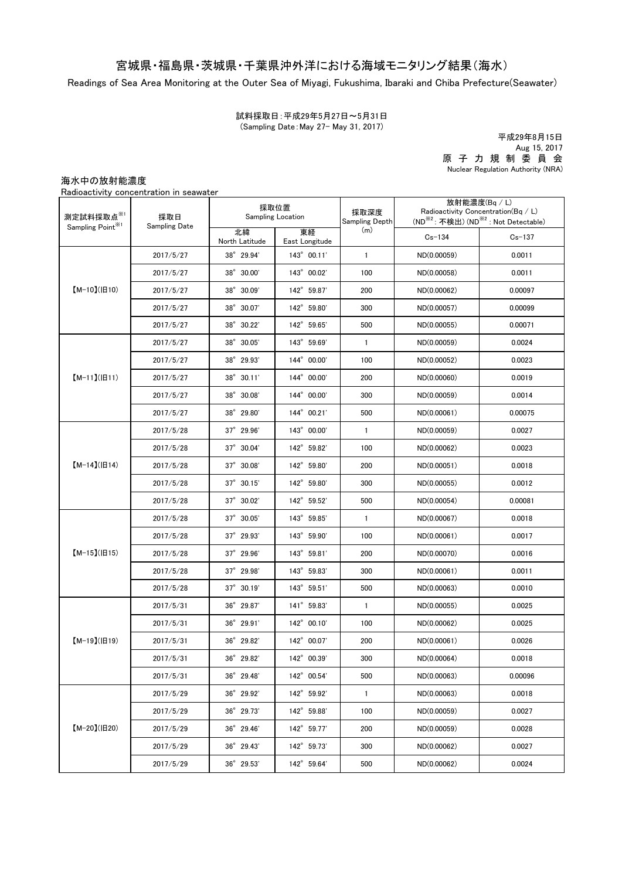## 宮城県・福島県・茨城県・千葉県沖外洋における海域モニタリング結果(海水)

Readings of Sea Area Monitoring at the Outer Sea of Miyagi, Fukushima, Ibaraki and Chiba Prefecture(Seawater)

(Sampling Date:May 27- May 31, 2017) 試料採取日:平成29年5月27日~5月31日

原 子 力 規 制 委 員 会 Nuclear Regulation Authority (NRA) 平成29年8月15日 Aug 15, 2017

海水中の放射能濃度

Radioactivity concentration in seawater

| 測定試料採取点※1<br>Sampling Point <sup>※1</sup> | 採取日<br>Sampling Date | 採取位置<br>Sampling Location |                      | 採取深度<br>Sampling Depth | 放射能濃度(Bq / L)<br>Radioactivity Concentration( $Bq / L$ )<br>(ND <sup>※2</sup> : 不検出) (ND <sup>※2</sup> : Not Detectable) |            |
|-------------------------------------------|----------------------|---------------------------|----------------------|------------------------|--------------------------------------------------------------------------------------------------------------------------|------------|
|                                           |                      | 北緯<br>North Latitude      | 東経<br>East Longitude | (m)                    | $Cs - 134$                                                                                                               | $Cs - 137$ |
| $[M-10](H10)$                             | 2017/5/27            | 38° 29.94'                | 143° 00.11'          | $\mathbf{1}$           | ND(0.00059)                                                                                                              | 0.0011     |
|                                           | 2017/5/27            | 38° 30.00'                | 143° 00.02'          | 100                    | ND(0.00058)                                                                                                              | 0.0011     |
|                                           | 2017/5/27            | 38° 30.09'                | 142° 59.87'          | 200                    | ND(0.00062)                                                                                                              | 0.00097    |
|                                           | 2017/5/27            | 38° 30.07'                | 142° 59.80'          | 300                    | ND(0.00057)                                                                                                              | 0.00099    |
|                                           | 2017/5/27            | 38° 30.22'                | 142° 59.65'          | 500                    | ND(0.00055)                                                                                                              | 0.00071    |
| $[M-11](H11)$                             | 2017/5/27            | 38° 30.05'                | 143° 59.69'          | $\mathbf{1}$           | ND(0.00059)                                                                                                              | 0.0024     |
|                                           | 2017/5/27            | 38° 29.93'                | 144° 00.00'          | 100                    | ND(0.00052)                                                                                                              | 0.0023     |
|                                           | 2017/5/27            | 38° 30.11'                | 144° 00.00'          | 200                    | ND(0.00060)                                                                                                              | 0.0019     |
|                                           | 2017/5/27            | 38° 30.08'                | 144° 00.00'          | 300                    | ND(0.00059)                                                                                                              | 0.0014     |
|                                           | 2017/5/27            | 38° 29.80'                | 144° 00.21'          | 500                    | ND(0.00061)                                                                                                              | 0.00075    |
|                                           | 2017/5/28            | $37^{\circ}$ 29.96'       | 143° 00.00'          | $\mathbf{1}$           | ND(0.00059)                                                                                                              | 0.0027     |
| $[M-14]( H14)$                            | 2017/5/28            | 37° 30.04'                | 142° 59.82'          | 100                    | ND(0.00062)                                                                                                              | 0.0023     |
|                                           | 2017/5/28            | 37° 30.08'                | 142° 59.80'          | 200                    | ND(0.00051)                                                                                                              | 0.0018     |
|                                           | 2017/5/28            | $37^{\circ}$ 30.15'       | 142° 59.80'          | 300                    | ND(0.00055)                                                                                                              | 0.0012     |
|                                           | 2017/5/28            | $37^\circ$ 30.02'         | 142° 59.52'          | 500                    | ND(0.00054)                                                                                                              | 0.00081    |
| $[M-15]$ ( $[H15]$                        | 2017/5/28            | $37^\circ$ 30.05'         | 143° 59.85'          | $\mathbf{1}$           | ND(0.00067)                                                                                                              | 0.0018     |
|                                           | 2017/5/28            | 37° 29.93'                | 143° 59.90'          | 100                    | ND(0.00061)                                                                                                              | 0.0017     |
|                                           | 2017/5/28            | $37^{\circ}$ 29.96'       | 143° 59.81'          | 200                    | ND(0.00070)                                                                                                              | 0.0016     |
|                                           | 2017/5/28            | $37^{\circ}$ 29.98'       | 143° 59.83'          | 300                    | ND(0.00061)                                                                                                              | 0.0011     |
|                                           | 2017/5/28            | $37^\circ$ 30.19'         | 143° 59.51'          | 500                    | ND(0.00063)                                                                                                              | 0.0010     |
| $[M-19](H19)$                             | 2017/5/31            | 36° 29.87'                | 141° 59.83'          | $\mathbf{1}$           | ND(0.00055)                                                                                                              | 0.0025     |
|                                           | 2017/5/31            | 36° 29.91'                | 142° 00.10'          | 100                    | ND(0.00062)                                                                                                              | 0.0025     |
|                                           | 2017/5/31            | 36° 29.82'                | 142° 00.07'          | 200                    | ND(0.00061)                                                                                                              | 0.0026     |
|                                           | 2017/5/31            | 36° 29.82'                | 142° 00.39'          | 300                    | ND(0.00064)                                                                                                              | 0.0018     |
|                                           | 2017/5/31            | 36° 29.48'                | 142° 00.54'          | 500                    | ND(0.00063)                                                                                                              | 0.00096    |
| $[M-20](H20)$                             | 2017/5/29            | 36° 29.92'                | 142° 59.92'          | $\mathbf{1}$           | ND(0.00063)                                                                                                              | 0.0018     |
|                                           | 2017/5/29            | 36° 29.73'                | 142° 59.88'          | 100                    | ND(0.00059)                                                                                                              | 0.0027     |
|                                           | 2017/5/29            | 36° 29.46'                | 142° 59.77'          | 200                    | ND(0.00059)                                                                                                              | 0.0028     |
|                                           | 2017/5/29            | 36° 29.43'                | 142° 59.73'          | 300                    | ND(0.00062)                                                                                                              | 0.0027     |
|                                           | 2017/5/29            | 36° 29.53'                | 142° 59.64'          | 500                    | ND(0.00062)                                                                                                              | 0.0024     |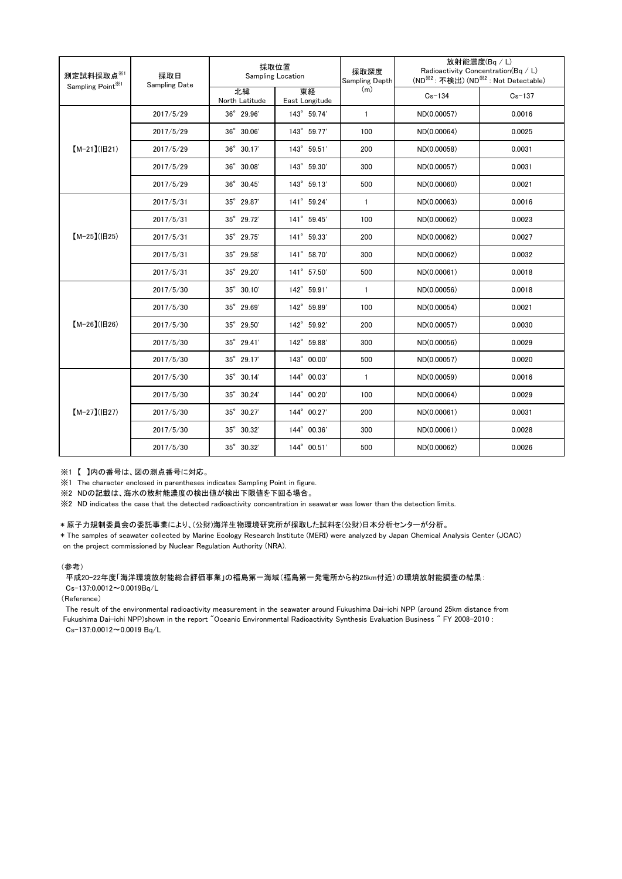| 測定試料採取点※1<br>Sampling Point <sup>※1</sup> | 採取日<br><b>Sampling Date</b> | 採取位置<br>Sampling Location |                      | 採取深度<br>Sampling Depth | 放射能濃度(Bq/L)<br>Radioactivity Concentration(Bq / L)<br>(ND <sup>※2</sup> : 不検出) (ND <sup>※2</sup> : Not Detectable) |            |
|-------------------------------------------|-----------------------------|---------------------------|----------------------|------------------------|--------------------------------------------------------------------------------------------------------------------|------------|
|                                           |                             | 北緯<br>North Latitude      | 東経<br>East Longitude | (m)                    | $Cs - 134$                                                                                                         | $Cs - 137$ |
| $[M-21](H21)$                             | 2017/5/29                   | $36^{\circ}$ 29.96'       | 143° 59.74'          | $\mathbf{1}$           | ND(0.00057)                                                                                                        | 0.0016     |
|                                           | 2017/5/29                   | 36° 30.06'                | 143° 59.77'          | 100                    | ND(0.00064)                                                                                                        | 0.0025     |
|                                           | 2017/5/29                   | 36° 30.17'                | 143° 59.51'          | 200                    | ND(0.00058)                                                                                                        | 0.0031     |
|                                           | 2017/5/29                   | 36° 30.08'                | 143° 59.30'          | 300                    | ND(0.00057)                                                                                                        | 0.0031     |
|                                           | 2017/5/29                   | 36° 30.45'                | 143° 59.13'          | 500                    | ND(0.00060)                                                                                                        | 0.0021     |
| $[M-25](H25)$                             | 2017/5/31                   | 35° 29.87'                | 141° 59.24'          | $\mathbf{1}$           | ND(0.00063)                                                                                                        | 0.0016     |
|                                           | 2017/5/31                   | 35° 29.72'                | 141° 59.45'          | 100                    | ND(0.00062)                                                                                                        | 0.0023     |
|                                           | 2017/5/31                   | 35° 29.75'                | 141° 59.33'          | 200                    | ND(0.00062)                                                                                                        | 0.0027     |
|                                           | 2017/5/31                   | 35° 29.58'                | 141° 58.70'          | 300                    | ND(0.00062)                                                                                                        | 0.0032     |
|                                           | 2017/5/31                   | 35° 29.20'                | 141° 57.50'          | 500                    | ND(0.00061)                                                                                                        | 0.0018     |
| $[M-26](B26)$                             | 2017/5/30                   | 35° 30.10'                | 142° 59.91'          | $\mathbf{1}$           | ND(0.00056)                                                                                                        | 0.0018     |
|                                           | 2017/5/30                   | $35^{\circ}$ 29.69'       | 142° 59.89'          | 100                    | ND(0.00054)                                                                                                        | 0.0021     |
|                                           | 2017/5/30                   | 35° 29.50'                | 142° 59.92'          | 200                    | ND(0.00057)                                                                                                        | 0.0030     |
|                                           | 2017/5/30                   | 35° 29.41'                | 142° 59.88'          | 300                    | ND(0.00056)                                                                                                        | 0.0029     |
|                                           | 2017/5/30                   | 35° 29.17'                | 143° 00.00'          | 500                    | ND(0.00057)                                                                                                        | 0.0020     |
| $[M-27](B27)$                             | 2017/5/30                   | $35^{\circ}$ 30.14'       | 144° 00.03'          | $\mathbf{1}$           | ND(0.00059)                                                                                                        | 0.0016     |
|                                           | 2017/5/30                   | 35° 30.24'                | 144° 00.20'          | 100                    | ND(0.00064)                                                                                                        | 0.0029     |
|                                           | 2017/5/30                   | 35° 30.27'                | 144° 00.27'          | 200                    | ND(0.00061)                                                                                                        | 0.0031     |
|                                           | 2017/5/30                   | 35° 30.32'                | 144° 00.36'          | 300                    | ND(0.00061)                                                                                                        | 0.0028     |
|                                           | 2017/5/30                   | 35° 30.32'                | 144° 00.51'          | 500                    | ND(0.00062)                                                                                                        | 0.0026     |

※1 【 】内の番号は、図の測点番号に対応。

※1 The character enclosed in parentheses indicates Sampling Point in figure.

...<br>※2 NDの記載は、海水の放射能濃度の検出値が検出下限値を下回る場合。

※2 ND indicates the case that the detected radioactivity concentration in seawater was lower than the detection limits.

## \* 原子力規制委員会の委託事業により、(公財)海洋生物環境研究所が採取した試料を(公財)日本分析センターが分析。

\* The samples of seawater collected by Marine Ecology Research Institute (MERI) were analyzed by Japan Chemical Analysis Center (JCAC) on the project commissioned by Nuclear Regulation Authority (NRA).

## (参考)

平成20-22年度「海洋環境放射能総合評価事業」の福島第一海域(福島第一発電所から約25km付近)の環境放射能調査の結果: Cs-137:0.0012~0.0019Bq/L

(Reference)

The result of the environmental radioactivity measurement in the seawater around Fukushima Dai-ichi NPP (around 25km distance from Fukushima Dai-ichi NPP)shown in the report "Oceanic Environmental Radioactivity Synthesis Evaluation Business " FY 2008-2010 : Cs-137:0.0012~0.0019 Bq/L